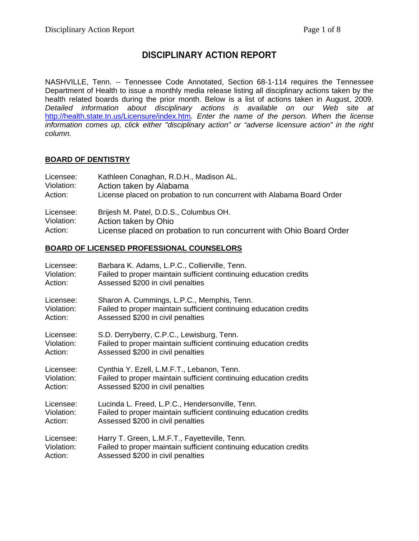# **DISCIPLINARY ACTION REPORT**

NASHVILLE, Tenn. -- Tennessee Code Annotated, Section 68-1-114 requires the Tennessee Department of Health to issue a monthly media release listing all disciplinary actions taken by the health related boards during the prior month. Below is a list of actions taken in August, 2009. *Detailed information about disciplinary actions is available on our Web site at*  <http://health.state.tn.us/Licensure/index.htm>*. Enter the name of the person. When the license information comes up, click either "disciplinary action" or "adverse licensure action" in the right column.*

## **BOARD OF DENTISTRY**

| Licensee:  | Kathleen Conaghan, R.D.H., Madison AL.                                 |
|------------|------------------------------------------------------------------------|
| Violation: | Action taken by Alabama                                                |
| Action:    | License placed on probation to run concurrent with Alabama Board Order |
| Licensee:  | Brijesh M. Patel, D.D.S., Columbus OH.                                 |
| Violation: | Action taken by Ohio                                                   |
| Action:    | License placed on probation to run concurrent with Ohio Board Order    |

### **BOARD OF LICENSED PROFESSIONAL COUNSELORS**

| Licensee:  | Barbara K. Adams, L.P.C., Collierville, Tenn.                     |
|------------|-------------------------------------------------------------------|
| Violation: | Failed to proper maintain sufficient continuing education credits |
| Action:    | Assessed \$200 in civil penalties                                 |
| Licensee:  | Sharon A. Cummings, L.P.C., Memphis, Tenn.                        |
| Violation: | Failed to proper maintain sufficient continuing education credits |
| Action:    | Assessed \$200 in civil penalties                                 |
| Licensee:  | S.D. Derryberry, C.P.C., Lewisburg, Tenn.                         |
| Violation: | Failed to proper maintain sufficient continuing education credits |
| Action:    | Assessed \$200 in civil penalties                                 |
| Licensee:  | Cynthia Y. Ezell, L.M.F.T., Lebanon, Tenn.                        |
| Violation: | Failed to proper maintain sufficient continuing education credits |
| Action:    | Assessed \$200 in civil penalties                                 |
| Licensee:  | Lucinda L. Freed, L.P.C., Hendersonville, Tenn.                   |
| Violation: | Failed to proper maintain sufficient continuing education credits |
| Action:    | Assessed \$200 in civil penalties                                 |
| Licensee:  | Harry T. Green, L.M.F.T., Fayetteville, Tenn.                     |
| Violation: | Failed to proper maintain sufficient continuing education credits |
| Action:    | Assessed \$200 in civil penalties                                 |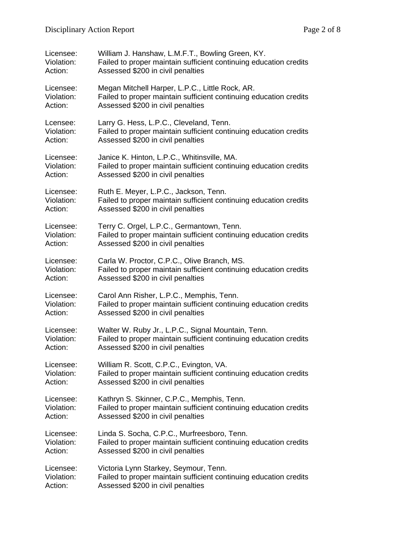| Licensee:  | William J. Hanshaw, L.M.F.T., Bowling Green, KY.                  |
|------------|-------------------------------------------------------------------|
| Violation: | Failed to proper maintain sufficient continuing education credits |
| Action:    | Assessed \$200 in civil penalties                                 |
| Licensee:  | Megan Mitchell Harper, L.P.C., Little Rock, AR.                   |
| Violation: | Failed to proper maintain sufficient continuing education credits |
| Action:    | Assessed \$200 in civil penalties                                 |
| Lcensee:   | Larry G. Hess, L.P.C., Cleveland, Tenn.                           |
| Violation: | Failed to proper maintain sufficient continuing education credits |
| Action:    | Assessed \$200 in civil penalties                                 |
| Licensee:  | Janice K. Hinton, L.P.C., Whitinsville, MA.                       |
| Violation: | Failed to proper maintain sufficient continuing education credits |
| Action:    | Assessed \$200 in civil penalties                                 |
| Licensee:  | Ruth E. Meyer, L.P.C., Jackson, Tenn.                             |
| Violation: | Failed to proper maintain sufficient continuing education credits |
| Action:    | Assessed \$200 in civil penalties                                 |
| Licensee:  | Terry C. Orgel, L.P.C., Germantown, Tenn.                         |
| Violation: | Failed to proper maintain sufficient continuing education credits |
| Action:    | Assessed \$200 in civil penalties                                 |
| Licensee:  | Carla W. Proctor, C.P.C., Olive Branch, MS.                       |
| Violation: | Failed to proper maintain sufficient continuing education credits |
| Action:    | Assessed \$200 in civil penalties                                 |
| Licensee:  | Carol Ann Risher, L.P.C., Memphis, Tenn.                          |
| Violation: | Failed to proper maintain sufficient continuing education credits |
| Action:    | Assessed \$200 in civil penalties                                 |
| Licensee:  | Walter W. Ruby Jr., L.P.C., Signal Mountain, Tenn.                |
| Violation: | Failed to proper maintain sufficient continuing education credits |
| Action:    | Assessed \$200 in civil penalties                                 |
| Licensee:  | William R. Scott, C.P.C., Evington, VA.                           |
| Violation: | Failed to proper maintain sufficient continuing education credits |
| Action:    | Assessed \$200 in civil penalties                                 |
| Licensee:  | Kathryn S. Skinner, C.P.C., Memphis, Tenn.                        |
| Violation: | Failed to proper maintain sufficient continuing education credits |
| Action:    | Assessed \$200 in civil penalties                                 |
| Licensee:  | Linda S. Socha, C.P.C., Murfreesboro, Tenn.                       |
| Violation: | Failed to proper maintain sufficient continuing education credits |
| Action:    | Assessed \$200 in civil penalties                                 |
| Licensee:  | Victoria Lynn Starkey, Seymour, Tenn.                             |
| Violation: | Failed to proper maintain sufficient continuing education credits |
| Action:    | Assessed \$200 in civil penalties                                 |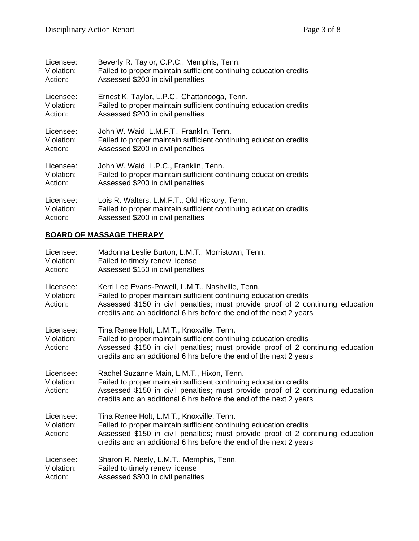| Licensee:  | Beverly R. Taylor, C.P.C., Memphis, Tenn.                         |
|------------|-------------------------------------------------------------------|
| Violation: | Failed to proper maintain sufficient continuing education credits |
| Action:    | Assessed \$200 in civil penalties                                 |
| Licensee:  | Ernest K. Taylor, L.P.C., Chattanooga, Tenn.                      |
| Violation: | Failed to proper maintain sufficient continuing education credits |
| Action:    | Assessed \$200 in civil penalties                                 |
| Licensee:  | John W. Waid, L.M.F.T., Franklin, Tenn.                           |
| Violation: | Failed to proper maintain sufficient continuing education credits |
| Action:    | Assessed \$200 in civil penalties                                 |
| Licensee:  | John W. Waid, L.P.C., Franklin, Tenn.                             |
| Violation: | Failed to proper maintain sufficient continuing education credits |
| Action:    | Assessed \$200 in civil penalties                                 |
| Licensee:  | Lois R. Walters, L.M.F.T., Old Hickory, Tenn.                     |
| Violation: | Failed to proper maintain sufficient continuing education credits |
| Action:    | Assessed \$200 in civil penalties                                 |

# **BOARD OF MASSAGE THERAPY**

| Licensee:<br>Violation:<br>Action: | Madonna Leslie Burton, L.M.T., Morristown, Tenn.<br>Failed to timely renew license<br>Assessed \$150 in civil penalties                                                                                                                                                        |
|------------------------------------|--------------------------------------------------------------------------------------------------------------------------------------------------------------------------------------------------------------------------------------------------------------------------------|
| Licensee:<br>Violation:<br>Action: | Kerri Lee Evans-Powell, L.M.T., Nashville, Tenn.<br>Failed to proper maintain sufficient continuing education credits<br>Assessed \$150 in civil penalties; must provide proof of 2 continuing education<br>credits and an additional 6 hrs before the end of the next 2 years |
| Licensee:<br>Violation:<br>Action: | Tina Renee Holt, L.M.T., Knoxville, Tenn.<br>Failed to proper maintain sufficient continuing education credits<br>Assessed \$150 in civil penalties; must provide proof of 2 continuing education<br>credits and an additional 6 hrs before the end of the next 2 years        |
| Licensee:<br>Violation:<br>Action: | Rachel Suzanne Main, L.M.T., Hixon, Tenn.<br>Failed to proper maintain sufficient continuing education credits<br>Assessed \$150 in civil penalties; must provide proof of 2 continuing education<br>credits and an additional 6 hrs before the end of the next 2 years        |
| Licensee:<br>Violation:<br>Action: | Tina Renee Holt, L.M.T., Knoxville, Tenn.<br>Failed to proper maintain sufficient continuing education credits<br>Assessed \$150 in civil penalties; must provide proof of 2 continuing education<br>credits and an additional 6 hrs before the end of the next 2 years        |
| Licensee:<br>Violation:<br>Action: | Sharon R. Neely, L.M.T., Memphis, Tenn.<br>Failed to timely renew license<br>Assessed \$300 in civil penalties                                                                                                                                                                 |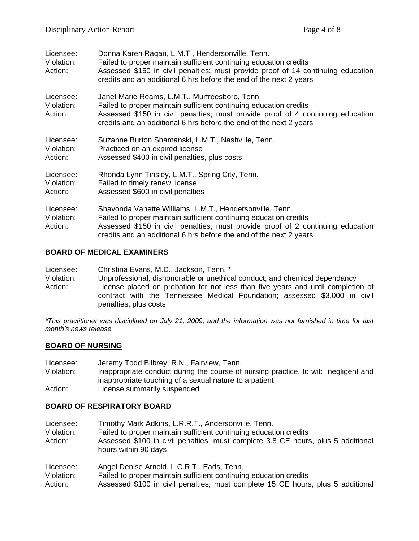| Licensee:<br>Violation:<br>Action: | Donna Karen Ragan, L.M.T., Hendersonville, Tenn.<br>Failed to proper maintain sufficient continuing education credits<br>Assessed \$150 in civil penalties; must provide proof of 14 continuing education<br>credits and an additional 6 hrs before the end of the next 2 years        |
|------------------------------------|----------------------------------------------------------------------------------------------------------------------------------------------------------------------------------------------------------------------------------------------------------------------------------------|
| Licensee:<br>Violation:<br>Action: | Janet Marie Reams, L.M.T., Murfreesboro, Tenn.<br>Failed to proper maintain sufficient continuing education credits<br>Assessed \$150 in civil penalties; must provide proof of 4 continuing education<br>credits and an additional 6 hrs before the end of the next 2 years           |
| Licensee:<br>Violation:<br>Action: | Suzanne Burton Shamanski, L.M.T., Nashville, Tenn.<br>Practiced on an expired license<br>Assessed \$400 in civil penalties, plus costs                                                                                                                                                 |
| Licensee:<br>Violation:<br>Action: | Rhonda Lynn Tinsley, L.M.T., Spring City, Tenn.<br>Failed to timely renew license<br>Assessed \$600 in civil penalties                                                                                                                                                                 |
| Licensee:<br>Violation:<br>Action: | Shavonda Vanette Williams, L.M.T., Hendersonville, Tenn.<br>Failed to proper maintain sufficient continuing education credits<br>Assessed \$150 in civil penalties; must provide proof of 2 continuing education<br>credits and an additional 6 hrs before the end of the next 2 years |

#### **BOARD OF MEDICAL EXAMINERS**

Licensee: Christina Evans, M.D., Jackson, Tenn. \*

Violation: Unprofessional, dishonorable or unethical conduct; and chemical dependancy Action: License placed on probation for not less than five years and until completion of contract with the Tennessee Medical Foundation; assessed \$3,000 in civil penalties, plus costs

*\*This practitioner was disciplined on July 21, 2009, and the information was not furnished in time for last month's news release.* 

#### **BOARD OF NURSING**

| Licensee:  | Jeremy Todd Bilbrey, R.N., Fairview, Tenn.                                         |
|------------|------------------------------------------------------------------------------------|
| Violation: | Inappropriate conduct during the course of nursing practice, to wit: negligent and |
|            | inappropriate touching of a sexual nature to a patient                             |
| Action:    | License summarily suspended                                                        |

#### **BOARD OF RESPIRATORY BOARD**

| Licensee:<br>Violation:<br>Action: | Timothy Mark Adkins, L.R.R.T., Andersonville, Tenn.<br>Failed to proper maintain sufficient continuing education credits<br>Assessed \$100 in civil penalties; must complete 3.8 CE hours, plus 5 additional |
|------------------------------------|--------------------------------------------------------------------------------------------------------------------------------------------------------------------------------------------------------------|
| Licensee:                          | hours within 90 days<br>Angel Denise Arnold, L.C.R.T., Eads, Tenn.                                                                                                                                           |
| Violation:                         | Failed to proper maintain sufficient continuing education credits                                                                                                                                            |
| Action:                            | Assessed \$100 in civil penalties; must complete 15 CE hours, plus 5 additional                                                                                                                              |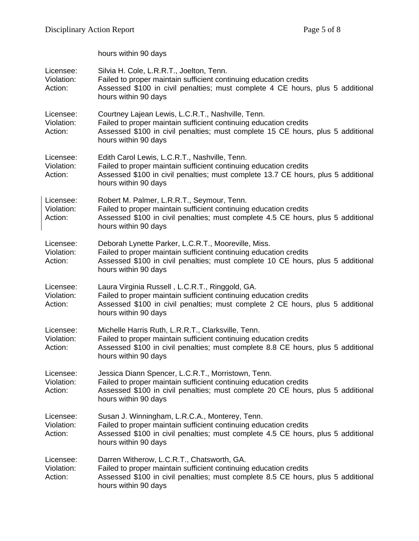|                                    | hours within 90 days                                                                                                                                                                                                                |
|------------------------------------|-------------------------------------------------------------------------------------------------------------------------------------------------------------------------------------------------------------------------------------|
| Licensee:<br>Violation:<br>Action: | Silvia H. Cole, L.R.R.T., Joelton, Tenn.<br>Failed to proper maintain sufficient continuing education credits<br>Assessed \$100 in civil penalties; must complete 4 CE hours, plus 5 additional<br>hours within 90 days             |
| Licensee:<br>Violation:<br>Action: | Courtney Lajean Lewis, L.C.R.T., Nashville, Tenn.<br>Failed to proper maintain sufficient continuing education credits<br>Assessed \$100 in civil penalties; must complete 15 CE hours, plus 5 additional<br>hours within 90 days   |
| Licensee:<br>Violation:<br>Action: | Edith Carol Lewis, L.C.R.T., Nashville, Tenn.<br>Failed to proper maintain sufficient continuing education credits<br>Assessed \$100 in civil penalties; must complete 13.7 CE hours, plus 5 additional<br>hours within 90 days     |
| Licensee:<br>Violation:<br>Action: | Robert M. Palmer, L.R.R.T., Seymour, Tenn.<br>Failed to proper maintain sufficient continuing education credits<br>Assessed \$100 in civil penalties; must complete 4.5 CE hours, plus 5 additional<br>hours within 90 days         |
| Licensee:<br>Violation:<br>Action: | Deborah Lynette Parker, L.C.R.T., Mooreville, Miss.<br>Failed to proper maintain sufficient continuing education credits<br>Assessed \$100 in civil penalties; must complete 10 CE hours, plus 5 additional<br>hours within 90 days |
| Licensee:<br>Violation:<br>Action: | Laura Virginia Russell, L.C.R.T., Ringgold, GA.<br>Failed to proper maintain sufficient continuing education credits<br>Assessed \$100 in civil penalties; must complete 2 CE hours, plus 5 additional<br>hours within 90 days      |
| Licensee:<br>Violation:<br>Action: | Michelle Harris Ruth, L.R.R.T., Clarksville, Tenn.<br>Failed to proper maintain sufficient continuing education credits<br>Assessed \$100 in civil penalties; must complete 8.8 CE hours, plus 5 additional<br>hours within 90 days |
| Licensee:<br>Violation:<br>Action: | Jessica Diann Spencer, L.C.R.T., Morristown, Tenn.<br>Failed to proper maintain sufficient continuing education credits<br>Assessed \$100 in civil penalties; must complete 20 CE hours, plus 5 additional<br>hours within 90 days  |
| Licensee:<br>Violation:<br>Action: | Susan J. Winningham, L.R.C.A., Monterey, Tenn.<br>Failed to proper maintain sufficient continuing education credits<br>Assessed \$100 in civil penalties; must complete 4.5 CE hours, plus 5 additional<br>hours within 90 days     |
| Licensee:<br>Violation:<br>Action: | Darren Witherow, L.C.R.T., Chatsworth, GA.<br>Failed to proper maintain sufficient continuing education credits<br>Assessed \$100 in civil penalties; must complete 8.5 CE hours, plus 5 additional<br>hours within 90 days         |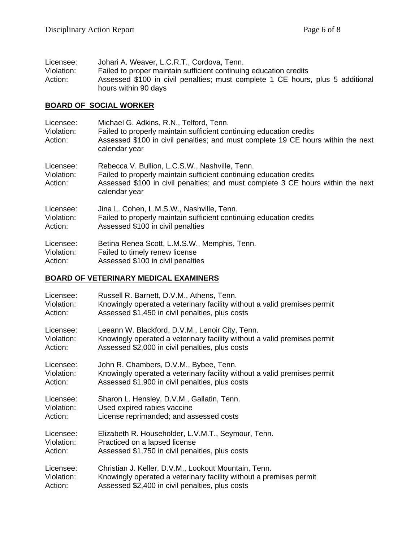| Licensee:  | Johari A. Weaver, L.C.R.T., Cordova, Tenn.                                     |
|------------|--------------------------------------------------------------------------------|
| Violation: | Failed to proper maintain sufficient continuing education credits              |
| Action:    | Assessed \$100 in civil penalties; must complete 1 CE hours, plus 5 additional |
|            | hours within 90 days                                                           |

## **BOARD OF SOCIAL WORKER**

| Licensee:<br>Violation:<br>Action: | Michael G. Adkins, R.N., Telford, Tenn.<br>Failed to properly maintain sufficient continuing education credits<br>Assessed \$100 in civil penalties; and must complete 19 CE hours within the next<br>calendar year       |
|------------------------------------|---------------------------------------------------------------------------------------------------------------------------------------------------------------------------------------------------------------------------|
| Licensee:<br>Violation:<br>Action: | Rebecca V. Bullion, L.C.S.W., Nashville, Tenn.<br>Failed to properly maintain sufficient continuing education credits<br>Assessed \$100 in civil penalties; and must complete 3 CE hours within the next<br>calendar year |
| Licensee:                          | Jina L. Cohen, L.M.S.W., Nashville, Tenn.                                                                                                                                                                                 |
| Violation:                         | Failed to properly maintain sufficient continuing education credits                                                                                                                                                       |
| Action:                            | Assessed \$100 in civil penalties                                                                                                                                                                                         |
| Licensee:                          | Betina Renea Scott, L.M.S.W., Memphis, Tenn.                                                                                                                                                                              |
| Violation:                         | Failed to timely renew license                                                                                                                                                                                            |
| Action:                            | Assessed \$100 in civil penalties                                                                                                                                                                                         |

### **BOARD OF VETERINARY MEDICAL EXAMINERS**

| Licensee:  | Russell R. Barnett, D.V.M., Athens, Tenn.                                |
|------------|--------------------------------------------------------------------------|
| Violation: | Knowingly operated a veterinary facility without a valid premises permit |
| Action:    | Assessed \$1,450 in civil penalties, plus costs                          |
| Licensee:  | Leeann W. Blackford, D.V.M., Lenoir City, Tenn.                          |
| Violation: | Knowingly operated a veterinary facility without a valid premises permit |
| Action:    | Assessed \$2,000 in civil penalties, plus costs                          |
| Licensee:  | John R. Chambers, D.V.M., Bybee, Tenn.                                   |
| Violation: | Knowingly operated a veterinary facility without a valid premises permit |
| Action:    | Assessed \$1,900 in civil penalties, plus costs                          |
| Licensee:  | Sharon L. Hensley, D.V.M., Gallatin, Tenn.                               |
| Violation: | Used expired rabies vaccine                                              |
| Action:    | License reprimanded; and assessed costs                                  |
| Licensee:  | Elizabeth R. Householder, L.V.M.T., Seymour, Tenn.                       |
| Violation: | Practiced on a lapsed license                                            |
| Action:    | Assessed \$1,750 in civil penalties, plus costs                          |
| Licensee:  | Christian J. Keller, D.V.M., Lookout Mountain, Tenn.                     |
| Violation: | Knowingly operated a veterinary facility without a premises permit       |
| Action:    | Assessed \$2,400 in civil penalties, plus costs                          |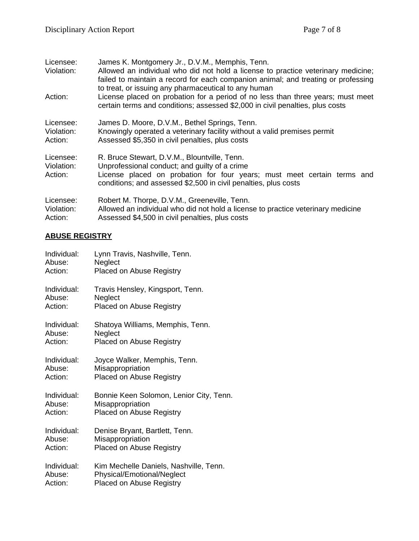| Licensee:<br>Violation:<br>Action: | James K. Montgomery Jr., D.V.M., Memphis, Tenn.<br>Allowed an individual who did not hold a license to practice veterinary medicine;<br>failed to maintain a record for each companion animal; and treating or professing<br>to treat, or issuing any pharmaceutical to any human<br>License placed on probation for a period of no less than three years; must meet<br>certain terms and conditions; assessed \$2,000 in civil penalties, plus costs |
|------------------------------------|-------------------------------------------------------------------------------------------------------------------------------------------------------------------------------------------------------------------------------------------------------------------------------------------------------------------------------------------------------------------------------------------------------------------------------------------------------|
| Licensee:                          | James D. Moore, D.V.M., Bethel Springs, Tenn.                                                                                                                                                                                                                                                                                                                                                                                                         |
| Violation:                         | Knowingly operated a veterinary facility without a valid premises permit                                                                                                                                                                                                                                                                                                                                                                              |
| Action:                            | Assessed \$5,350 in civil penalties, plus costs                                                                                                                                                                                                                                                                                                                                                                                                       |
| Licensee:<br>Violation:<br>Action: | R. Bruce Stewart, D.V.M., Blountville, Tenn.<br>Unprofessional conduct; and guilty of a crime<br>License placed on probation for four years; must meet certain terms and<br>conditions; and assessed \$2,500 in civil penalties, plus costs                                                                                                                                                                                                           |
| Licensee:                          | Robert M. Thorpe, D.V.M., Greeneville, Tenn.                                                                                                                                                                                                                                                                                                                                                                                                          |
| Violation:                         | Allowed an individual who did not hold a license to practice veterinary medicine                                                                                                                                                                                                                                                                                                                                                                      |
| Action:                            | Assessed \$4,500 in civil penalties, plus costs                                                                                                                                                                                                                                                                                                                                                                                                       |

## **ABUSE REGISTRY**

| Individual: | Lynn Travis, Nashville, Tenn.           |
|-------------|-----------------------------------------|
| Abuse:      | Neglect                                 |
| Action:     | <b>Placed on Abuse Registry</b>         |
| Individual: | Travis Hensley, Kingsport, Tenn.        |
| Abuse:      | Neglect                                 |
| Action:     | <b>Placed on Abuse Registry</b>         |
| Individual: | Shatoya Williams, Memphis, Tenn.        |
| Abuse:      | Neglect                                 |
| Action:     | <b>Placed on Abuse Registry</b>         |
| Individual: | Joyce Walker, Memphis, Tenn.            |
| Abuse:      | Misappropriation                        |
| Action:     | <b>Placed on Abuse Registry</b>         |
| Individual: | Bonnie Keen Solomon, Lenior City, Tenn. |
| Abuse:      | Misappropriation                        |
| Action:     | <b>Placed on Abuse Registry</b>         |
| Individual: | Denise Bryant, Bartlett, Tenn.          |
| Abuse:      | Misappropriation                        |
| Action:     | <b>Placed on Abuse Registry</b>         |
| Individual: | Kim Mechelle Daniels, Nashville, Tenn.  |
| Abuse:      | Physical/Emotional/Neglect              |
| Action:     | <b>Placed on Abuse Registry</b>         |